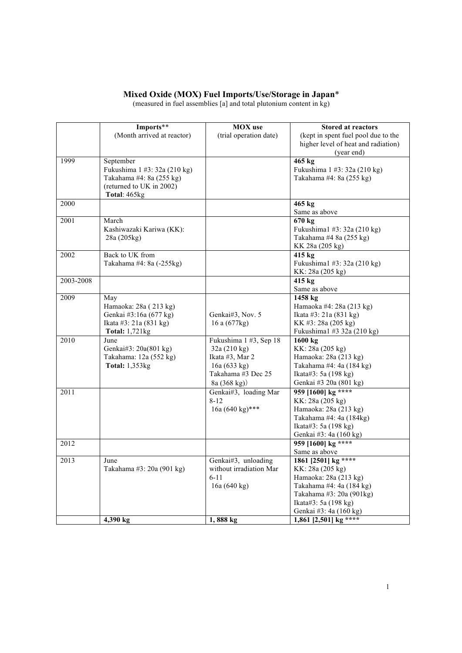## **Mixed Oxide (MOX) Fuel Imports/Use/Storage in Japan**\*

(measured in fuel assemblies [a] and total plutonium content in kg)

|           | Imports**                    | <b>MOX</b> use             | <b>Stored at reactors</b>           |
|-----------|------------------------------|----------------------------|-------------------------------------|
|           | (Month arrived at reactor)   | (trial operation date)     | (kept in spent fuel pool due to the |
|           |                              |                            | higher level of heat and radiation) |
|           |                              |                            | (year end)                          |
| 1999      | September                    |                            | 465 kg                              |
|           | Fukushima 1 #3: 32a (210 kg) |                            | Fukushima 1 #3: 32a (210 kg)        |
|           | Takahama #4: 8a (255 kg)     |                            | Takahama #4: 8a (255 kg)            |
|           | (returned to UK in 2002)     |                            |                                     |
|           | Total: 465kg                 |                            |                                     |
| 2000      |                              |                            | 465 kg                              |
|           |                              |                            | Same as above                       |
| 2001      | March                        |                            | $670 \text{ kg}$                    |
|           | Kashiwazaki Kariwa (KK):     |                            | Fukushima1 #3: 32a (210 kg)         |
|           | 28a (205kg)                  |                            | Takahama #4 8a (255 kg)             |
|           |                              |                            | KK 28a (205 kg)                     |
| 2002      | Back to UK from              |                            | 415 kg                              |
|           | Takahama #4: 8a (-255kg)     |                            | Fukushima1 #3: 32a (210 kg)         |
|           |                              |                            | KK: 28a (205 kg)                    |
| 2003-2008 |                              |                            | 415 kg                              |
|           |                              |                            | Same as above                       |
| 2009      | May                          |                            | $1458 \text{ kg}$                   |
|           | Hamaoka: 28a (213 kg)        |                            | Hamaoka #4: 28a (213 kg)            |
|           | Genkai #3:16a (677 kg)       | Genkai#3, Nov. 5           | Ikata #3: 21a (831 kg)              |
|           | Ikata #3: 21a (831 kg)       | 16 a (677kg)               | KK #3: 28a (205 kg)                 |
|           | <b>Total: 1,721kg</b>        |                            | Fukushima1 #3 32a (210 kg)          |
| 2010      | June                         | Fukushima 1 #3, Sep 18     | 1600 kg                             |
|           | Genkai#3: 20a(801 kg)        | 32a (210 kg)               | KK: 28a (205 kg)                    |
|           | Takahama: 12a (552 kg)       | Ikata #3, Mar 2            | Hamaoka: 28a (213 kg)               |
|           | Total: 1,353kg               | 16a (633 kg)               | Takahama #4: 4a (184 kg)            |
|           |                              | Takahama #3 Dec 25         | Ikata#3: 5a (198 kg)                |
|           |                              | 8a (368 kg))               | Genkai #3 20a (801 kg)              |
| 2011      |                              | Genkai#3, loading Mar      | 959 [1600] kg ****                  |
|           |                              | $8 - 12$                   | KK: 28a (205 kg)                    |
|           |                              | 16a $(640 \text{ kg})$ *** | Hamaoka: 28a (213 kg)               |
|           |                              |                            | Takahama #4: 4a (184kg)             |
|           |                              |                            | Ikata#3: 5a $(198 \text{ kg})$      |
|           |                              |                            | Genkai #3: 4a (160 kg)              |
| 2012      |                              |                            | 959 [1600] kg ****                  |
|           |                              |                            | Same as above                       |
| 2013      | June                         | Genkai#3, unloading        | 1861 [2501] kg ****                 |
|           | Takahama #3: 20a (901 kg)    | without irradiation Mar    | KK: 28a (205 kg)                    |
|           |                              | $6 - 11$                   | Hamaoka: 28a (213 kg)               |
|           |                              | 16a (640 kg)               | Takahama #4: 4a (184 kg)            |
|           |                              |                            | Takahama #3: 20a (901kg)            |
|           |                              |                            | Ikata#3: 5a $(198 \text{ kg})$      |
|           |                              |                            | Genkai #3: 4a (160 kg)              |
|           | 4,390 kg                     | 1,888 kg                   | 1,861 [2,501] kg ****               |